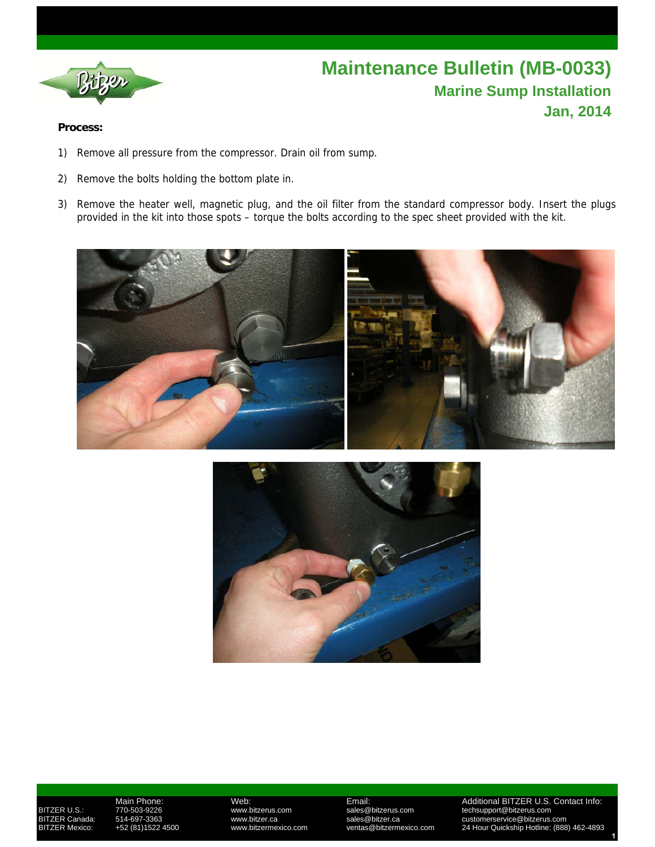

## **Maintenance Bulletin (MB-0033) Marine Sump Installation Jan, 2014**

## **Process:**

- 1) Remove all pressure from the compressor. Drain oil from sump.
- 2) Remove the bolts holding the bottom plate in.
- 3) Remove the heater well, magnetic plug, and the oil filter from the standard compressor body. Insert the plugs provided in the kit into those spots – torque the bolts according to the spec sheet provided with the kit.





 Main Phone: Web: Email: Additional BITZER U.S. Contact Info: BITZER U.S.: 770-503-9226 www.bitzerus.com sales@bitzerus.com techsupport@bitzerus.com BITZER Canada: 514-697-3363 www.bitzer.ca sales@bitzer.ca customerservice@bitzerus.com BITZER Mexico: +52 (81)1522 4500 www.bitzermexico.com ventas@bitzermexico.com 24 Hour Quickship Hotline: (888) 462-4893  **1**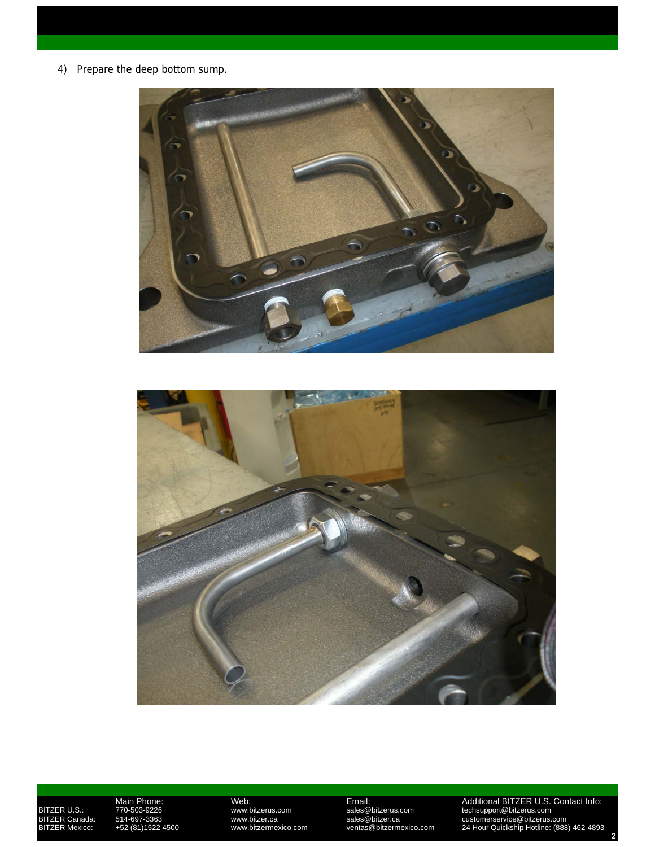4) Prepare the deep bottom sump.





Main Phone: Web: Email: Additional BITZER U.S. Contact Info: BITZER U.S.: 770-503-9226 www.bitzerus.com sales@bitzerus.com techsupport@bitzerus.com BITZER Canada: 514-697-3363 www.bitzer.ca sales@bitzer.ca customerservice@bitzerus.com BITZER Mexico: +52 (81)1522 4500 www.bitzermexico.com ventas@bitzermexico.com 24 Hour Quickship Hotline: (888) 462-4893  **2**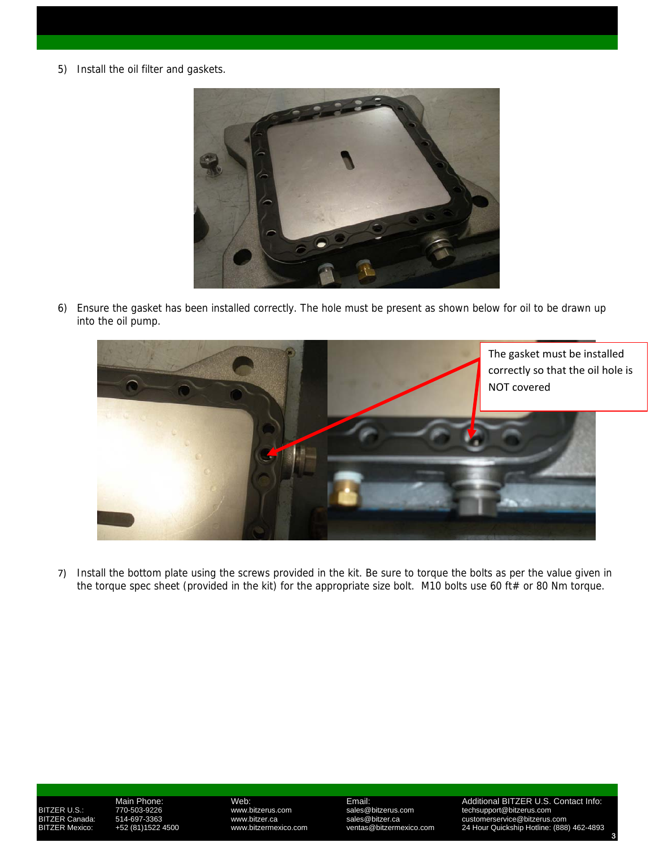5) Install the oil filter and gaskets.



6) Ensure the gasket has been installed correctly. The hole must be present as shown below for oil to be drawn up into the oil pump.



7) Install the bottom plate using the screws provided in the kit. Be sure to torque the bolts as per the value given in the torque spec sheet (provided in the kit) for the appropriate size bolt. M10 bolts use 60 ft# or 80 Nm torque.

 Main Phone: Web: Email: Additional BITZER U.S. Contact Info: BITZER U.S.: 770-503-9226 www.bitzerus.com sales@bitzerus.com techsupport@bitzerus.com BITZER Canada: 514-697-3363 www.bitzer.ca sales@bitzer.ca customerservice@bitzerus.com BITZER Mexico: +52 (81)1522 4500 www.bitzermexico.com ventas@bitzermexico.com 24 Hour Quickship Hotline: (888) 462-4893  **3**